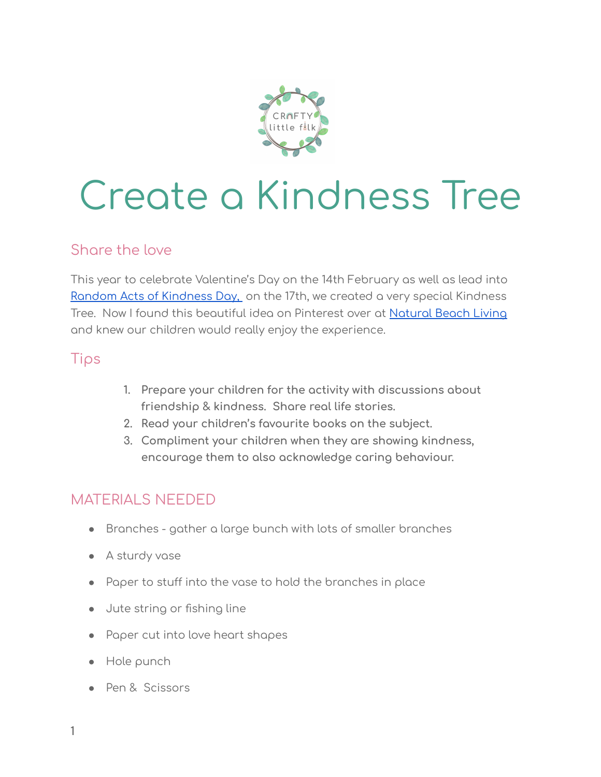

# Create a Kindness Tree

#### Share the love

This year to celebrate Valentine's Day on the 14th February as well as lead int[o](https://www.randomactsofkindness.org/) Random Acts of [Kindness](https://www.randomactsofkindness.org/) Day, on the 17th, we created a very special Kindness Tree. Now I found this beautiful idea on Pinterest over at [Natural](https://www.naturalbeachliving.com/kindness-tree/) Beach Living and knew our children would really enjoy the experience.

#### Tips

- **1. Prepare your children for the activity with discussions about friendship & kindness. Share real life stories.**
- **2. Read your children's favourite books on the subject.**
- **3. Compliment your children when they are showing kindness, encourage them to also acknowledge caring behaviour.**

#### MATERIALS NEEDED

- Branches gather a large bunch with lots of smaller branches
- A sturdy vase
- Paper to stuff into the vase to hold the branches in place
- Jute string or fishing line
- Paper cut into love heart shapes
- Hole punch
- Pen & Scissors